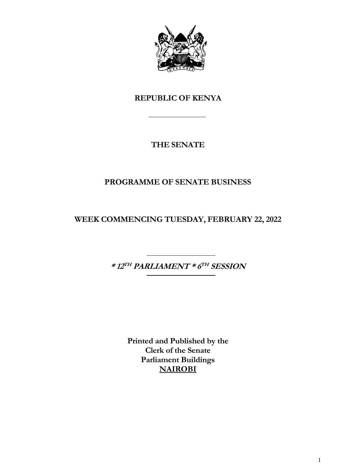

# **REPUBLIC OF KENYA**

# **THE SENATE**

# **PROGRAMME OF SENATE BUSINESS**

**WEEK COMMENCING TUESDAY, FEBRUARY 22, 2022**

**\* 12 TH PARLIAMENT \* 6 TH SESSION**

**Printed and Published by the Clerk of the Senate Parliament Buildings NAIROBI**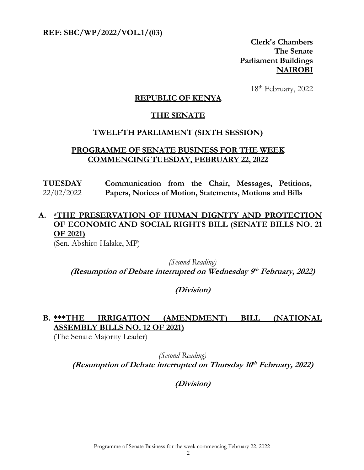**REF: SBC/WP/2022/VOL.1/(03)** 

**Clerk's Chambers The Senate Parliament Buildings NAIROBI**

 18  $18<sup>th</sup>$  February, 2022

#### **REPUBLIC OF KENYA**

#### **THE SENATE**

#### **TWELFTH PARLIAMENT (SIXTH SESSION)**

#### **PROGRAMME OF SENATE BUSINESS FOR THE WEEK COMMENCING TUESDAY, FEBRUARY 22, 2022**

**TUESDAY** 22/02/2022 **Communication from the Chair, Messages, Petitions, Papers, Notices of Motion, Statements, Motions and Bills**

### **A. \*THE PRESERVATION OF HUMAN DIGNITY AND PROTECTION OF ECONOMIC AND SOCIAL RIGHTS BILL (SENATE BILLS NO. 21 OF 2021)**

(Sen. Abshiro Halake, MP)

*(Second Reading)* **(Resumption of Debate interrupted on Wednesday 9 th February, 2022)**

**(Division)**

### **B. \*\*\*THE IRRIGATION (AMENDMENT) BILL (NATIONAL ASSEMBLY BILLS NO. 12 OF 2021)**

(The Senate Majority Leader)

*(Second Reading)* **(Resumption of Debate interrupted on Thursday 10 th February, 2022)**

**(Division)**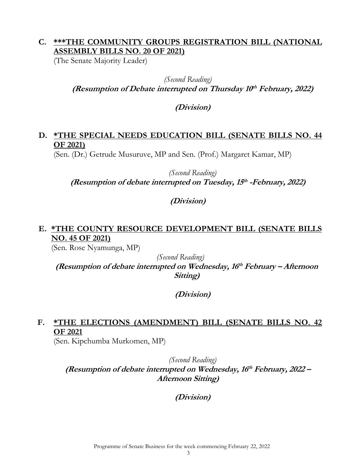### **C. \*\*\*THE COMMUNITY GROUPS REGISTRATION BILL (NATIONAL ASSEMBLY BILLS NO. 20 OF 2021)**

(The Senate Majority Leader)

*(Second Reading)* **(Resumption of Debate interrupted on Thursday 10 th February, 2022)**

### **(Division)**

### **D. \*THE SPECIAL NEEDS EDUCATION BILL (SENATE BILLS NO. 44 OF 2021)**

(Sen. (Dr.) Getrude Musuruve, MP and Sen. (Prof.) Margaret Kamar, MP)

*(Second Reading)* **(Resumption of debate interrupted on Tuesday, 15 th -February, 2022)**

### **(Division)**

### **E. \*THE COUNTY RESOURCE DEVELOPMENT BILL (SENATE BILLS NO. 45 OF 2021)**

(Sen. Rose Nyamunga, MP)

*(Second Reading)*

**(Resumption of debate interrupted on Wednesday, 16 th February – Afternoon Sitting)**

### **(Division)**

# **F. \*THE ELECTIONS (AMENDMENT) BILL (SENATE BILLS NO. 42 OF 2021**

(Sen. Kipchumba Murkomen, MP)

*(Second Reading)* **(Resumption of debate interrupted on Wednesday, 16 th February, 2022 – Afternoon Sitting)**

**(Division)**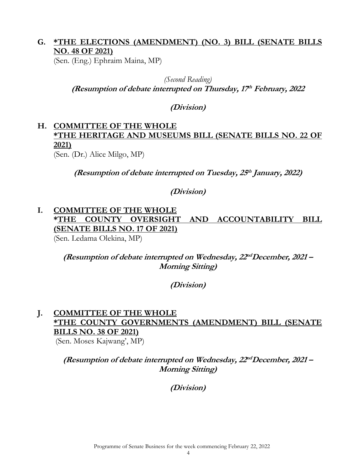### **G. \*THE ELECTIONS (AMENDMENT) (NO. 3) BILL (SENATE BILLS NO. 48 OF 2021)**

(Sen. (Eng.) Ephraim Maina, MP)

*(Second Reading)* **(Resumption of debate interrupted on Thursday, 17 th February, 2022**

**(Division)**

#### **H. COMMITTEE OF THE WHOLE \*THE HERITAGE AND MUSEUMS BILL (SENATE BILLS NO. 22 OF 2021)** (Sen. (Dr.) Alice Milgo, MP)

**(Resumption of debate interrupted on Tuesday, 25 th January, 2022)**

**(Division)**

#### **I. COMMITTEE OF THE WHOLE \*THE COUNTY OVERSIGHT AND ACCOUNTABILITY BILL (SENATE BILLS NO. 17 OF 2021)** (Sen. Ledama Olekina, MP)

**(Resumption of debate interrupted on Wednesday, 22 ndDecember, 2021 – Morning Sitting)**

**(Division)**

### **J. COMMITTEE OF THE WHOLE \*THE COUNTY GOVERNMENTS (AMENDMENT) BILL (SENATE BILLS NO. 38 OF 2021)**

(Sen. Moses Kajwang', MP)

**(Resumption of debate interrupted on Wednesday, 22 ndDecember, 2021 – Morning Sitting)**

**(Division)**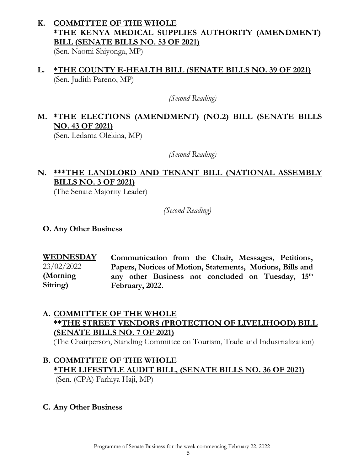# **K. COMMITTEE OF THE WHOLE \*THE KENYA MEDICAL SUPPLIES AUTHORITY (AMENDMENT) BILL (SENATE BILLS NO. 53 OF 2021)**

(Sen. Naomi Shiyonga, MP)

**L. \*THE COUNTY E-HEALTH BILL (SENATE BILLS NO. 39 OF 2021)**  (Sen. Judith Pareno, MP)

*(Second Reading)*

# **M. \*THE ELECTIONS (AMENDMENT) (NO.2) BILL (SENATE BILLS NO. 43 OF 2021)**

(Sen. Ledama Olekina, MP)

*(Second Reading)*

### **N. \*\*\*THE LANDLORD AND TENANT BILL (NATIONAL ASSEMBLY BILLS NO. 3 OF 2021)**

(The Senate Majority Leader)

*(Second Reading)*

#### **O. Any Other Business**

**WEDNESDAY**  23/02/2022 **(Morning Sitting) Communication from the Chair, Messages, Petitions, Papers, Notices of Motion, Statements, Motions, Bills and any other Business not concluded on Tuesday, 15th February, 2022.**

### **A. COMMITTEE OF THE WHOLE \*\*THE STREET VENDORS (PROTECTION OF LIVELIHOOD) BILL (SENATE BILLS NO. 7 OF 2021)**

(The Chairperson, Standing Committee on Tourism, Trade and Industrialization)

# **B. COMMITTEE OF THE WHOLE \*THE LIFESTYLE AUDIT BILL, (SENATE BILLS NO. 36 OF 2021)**

(Sen. (CPA) Farhiya Haji, MP)

**C. Any Other Business**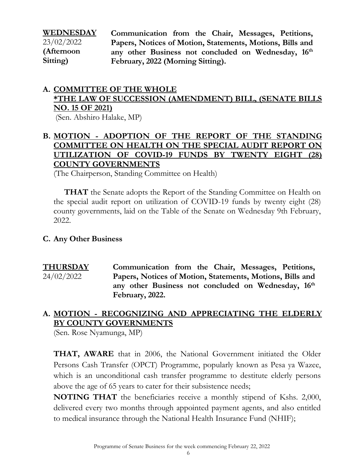| WEDNESDAY  |
|------------|
| 23/02/2022 |
| (Afternoon |
| Sitting)   |

**Communication from the Chair, Messages, Petitions, Papers, Notices of Motion, Statements, Motions, Bills and any other Business not concluded on Wednesday, 16th February, 2022 (Morning Sitting).**

#### **A. COMMITTEE OF THE WHOLE \*THE LAW OF SUCCESSION (AMENDMENT) BILL, (SENATE BILLS NO. 15 OF 2021)** (Sen. Abshiro Halake, MP)

#### **B. MOTION - ADOPTION OF THE REPORT OF THE STANDING COMMITTEE ON HEALTH ON THE SPECIAL AUDIT REPORT ON UTILIZATION OF COVID-19 FUNDS BY TWENTY EIGHT (28) COUNTY GOVERNMENTS**

(The Chairperson, Standing Committee on Health)

**THAT** the Senate adopts the Report of the Standing Committee on Health on the special audit report on utilization of COVID-19 funds by twenty eight (28) county governments, laid on the Table of the Senate on Wednesday 9th February, 2022.

#### **C. Any Other Business**

**THURSDAY**  24/02/2022 **Communication from the Chair, Messages, Petitions, Papers, Notices of Motion, Statements, Motions, Bills and any other Business not concluded on Wednesday, 16th February, 2022.**

### **A. MOTION - RECOGNIZING AND APPRECIATING THE ELDERLY BY COUNTY GOVERNMENTS**

(Sen. Rose Nyamunga, MP)

**THAT, AWARE** that in 2006, the National Government initiated the Older Persons Cash Transfer (OPCT) Programme, popularly known as Pesa ya Wazee, which is an unconditional cash transfer programme to destitute elderly persons above the age of 65 years to cater for their subsistence needs;

**NOTING THAT** the beneficiaries receive a monthly stipend of Kshs. 2,000, delivered every two months through appointed payment agents, and also entitled to medical insurance through the National Health Insurance Fund (NHIF);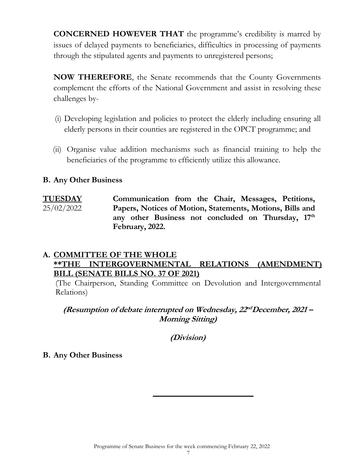**CONCERNED HOWEVER THAT** the programme's credibility is marred by issues of delayed payments to beneficiaries, difficulties in processing of payments through the stipulated agents and payments to unregistered persons;

**NOW THEREFORE**, the Senate recommends that the County Governments complement the efforts of the National Government and assist in resolving these challenges by-

- (i) Developing legislation and policies to protect the elderly including ensuring all elderly persons in their counties are registered in the OPCT programme; and
- (ii) Organise value addition mechanisms such as financial training to help the beneficiaries of the programme to efficiently utilize this allowance.

#### **B. Any Other Business**

**TUESDAY**  25/02/2022 **Communication from the Chair, Messages, Petitions, Papers, Notices of Motion, Statements, Motions, Bills and**  any other Business not concluded on Thursday,  $17<sup>th</sup>$ **February, 2022.** 

#### **A. COMMITTEE OF THE WHOLE \*\*THE INTERGOVERNMENTAL RELATIONS (AMENDMENT) BILL (SENATE BILLS NO. 37 OF 2021)**

(The Chairperson, Standing Committee on Devolution and Intergovernmental Relations)

**(Resumption of debate interrupted on Wednesday, 22 ndDecember, 2021 – Morning Sitting)**

**(Division)**

#### **B. Any Other Business**